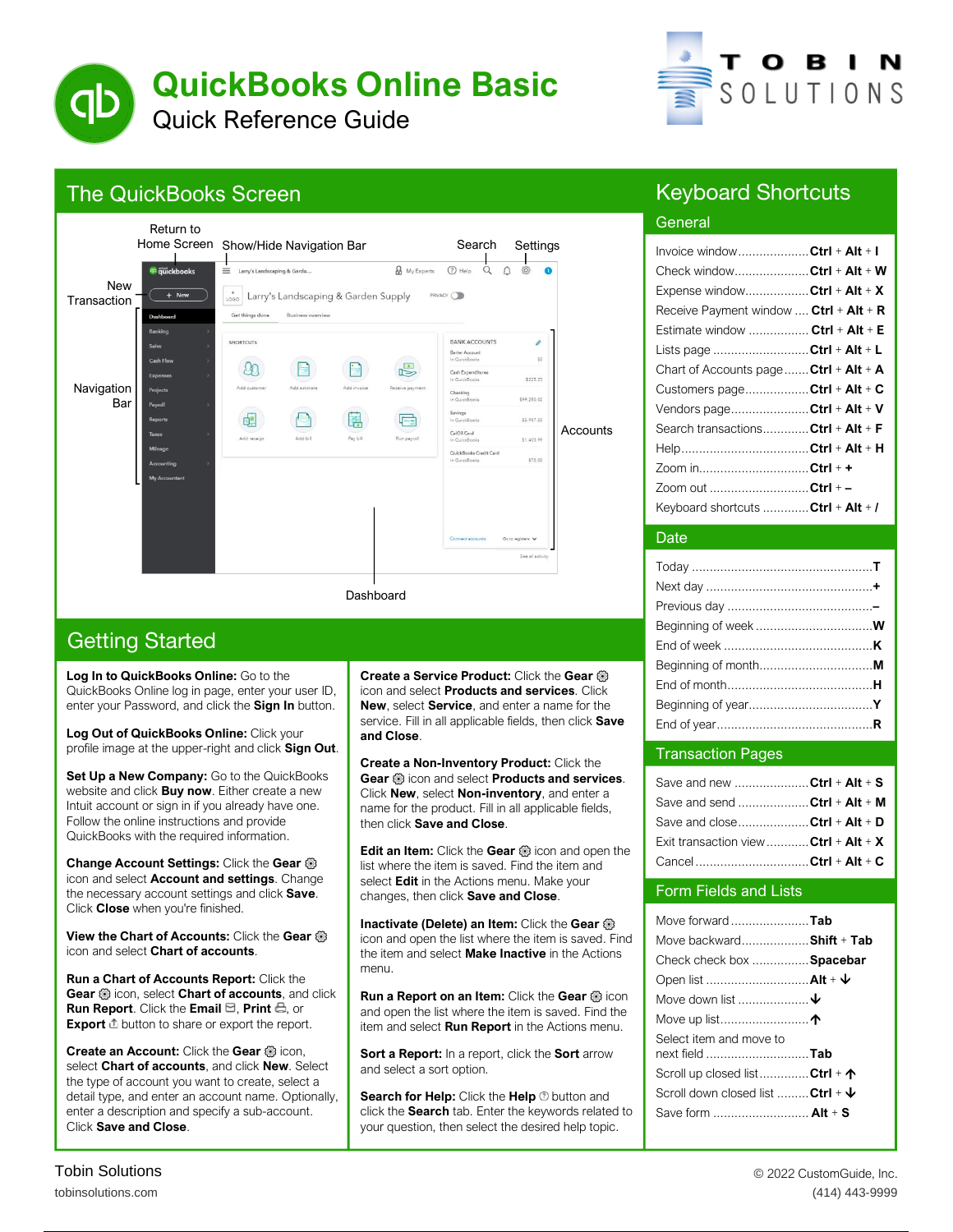



### The QuickBooks Screen



### Keyboard Shortcuts

### **General Involvement**

| Invoice windowCtrl + Alt + I           |  |
|----------------------------------------|--|
| Check windowCtrl + Alt + W             |  |
| Expense windowCtrl + Alt + X           |  |
| Receive Payment window  Ctrl + Alt + R |  |
| Estimate window  Ctrl + Alt + E        |  |
| Lists page Ctrl + Alt + L              |  |
| Chart of Accounts page Ctrl + Alt + A  |  |
| Customers pageCtrl + Alt + C           |  |
| Vendors pageCtrl + Alt + V             |  |
| Search transactionsCtrl + Alt + F      |  |
|                                        |  |
| Zoom in <b>Ctrl</b> + +                |  |
| Zoom out <b>Ctrl</b> + -               |  |
| Keyboard shortcuts  Ctrl + Alt + /     |  |
|                                        |  |

### Date Date

#### Transaction Pages Transaction Pages

| Save and new Ctrl + Alt + S           |  |
|---------------------------------------|--|
| Save and send Ctrl + Alt + M          |  |
| Save and close <b>Ctrl + Alt + D</b>  |  |
| Exit transaction view  Ctrl + Alt + X |  |
| Cancel Ctrl + Alt + C                 |  |

# Form Fields and Lists

| Move forward Tab                               |  |
|------------------------------------------------|--|
| Move backward Shift + Tab                      |  |
| Check check box  Spacebar                      |  |
|                                                |  |
| Move down list $\bm{\downarrow}$               |  |
|                                                |  |
| Select item and move to                        |  |
| next field Tab                                 |  |
| Scroll up closed listCtrl + ↑                  |  |
| Scroll down closed list  Ctrl + $\mathbf \Psi$ |  |
|                                                |  |
| Save form  Alt + S                             |  |

## Getting Started

**Log In to QuickBooks Online :** Go to the QuickBooks Online log in page, enter your user ID, enter your Password, and click the **Sign In** button.

**Log Out of QuickBooks Online:** Click your profile image at the upper -right and click **Sign Out**.

**Set Up a New Company:** Go to the QuickBooks website and click **Buy now**. Either create a new Intuit account or sign in if you already have one. Follow the online instructions and provide QuickBooks with the required information.

**Change Account Settings:** Click the **Gear** icon and select **Account and settings**. Change the necessary account settings and click **Save**. Click **Close** when you're finished.

**View the Chart of Accounts:** Click the **Gear** icon and select **Chart of accounts**.

**Run a Chart of Accounts Report:** Click the **Gear** icon, select **Chart of accounts**, and click **Run Report**. Click the **Email**  $\Xi$ , **Print**  $\Xi$ , or **Export**  $\triangle$  button to share or export the report.

**Create an Account:** Click the Gear @ icon, select **Chart of accounts**, and click **New**. Select the type of account you want to create, select a detail type, and enter an account name. Optionally, enter a description and specify a sub-account. Click **Save and Close**.

**Create a Service Product:** Click the **Gear** icon and select **Products and services**. Click **New**, select **Servic e**, and enter a name for the service. Fill in all applicable fields, then click **Save and Close**.

**Create a Non -Inventory Product:** Click the **Gear** icon and select **Products and services**. Click **New**, select **Non -inventory**, and enter a name for the product. Fill in all applicable fields, then click **Save and Close**.

**Edit an Item:** Click the Gear **is** icon and open the list where the item is saved. Find the item and select **Edit** in the Actions menu. Make your changes, then click **Save and Close**.

**Inactivate (Delete) an Item:** Click the **Gear** icon and open the list where the item is saved. Find the item and select **Make Inactive** in the Actions menu.

**Run a Report on an Item:** Click the Gear @ icon and open the list where the item is saved. Find the item and select **Run Report** in the Actions menu.

**Sort a Report:** In a report, click the **Sort** arrow and select a sort option.

**Search for Help:** Click the **Help**  $\odot$  button and click the **Search** tab. Enter the keywords related to your question, then select the desired help topic.

5. Click Close when you're finished.

+ **Alt**  $\frac{1}{\sqrt{2}}$ **C**